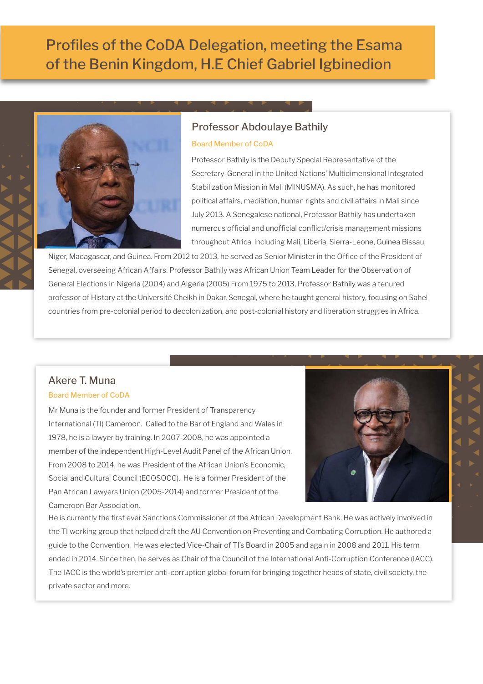# Profiles of the CoDA Delegation, meeting the Esama of the Benin Kingdom, H.E Chief Gabriel Igbinedion



# Professor Abdoulaye Bathily

### Board Member of CoDA

Professor Bathily is the Deputy Special Representative of the Secretary-General in the United Nations' Multidimensional Integrated Stabilization Mission in Mali (MINUSMA). As such, he has monitored political affairs, mediation, human rights and civil affairs in Mali since July 2013. A Senegalese national, Professor Bathily has undertaken numerous official and unofficial conflict/crisis management missions throughout Africa, including Mali, Liberia, Sierra-Leone, Guinea Bissau,

Niger, Madagascar, and Guinea. From 2012 to 2013, he served as Senior Minister in the Office of the President of Senegal, overseeing African Affairs. Professor Bathily was African Union Team Leader for the Observation of General Elections in Nigeria (2004) and Algeria (2005) From 1975 to 2013, Professor Bathily was a tenured professor of History at the Université Cheikh in Dakar, Senegal, where he taught general history, focusing on Sahel countries from pre-colonial period to decolonization, and post-colonial history and liberation struggles in Africa.

# Akere T. Muna

# Board Member of CoDA

Mr Muna is the founder and former President of Transparency International (TI) Cameroon. Called to the Bar of England and Wales in 1978, he is a lawyer by training. In 2007-2008, he was appointed a member of the independent High-Level Audit Panel of the African Union. From 2008 to 2014, he was President of the African Union's Economic, Social and Cultural Council (ECOSOCC). He is a former President of the Pan African Lawyers Union (2005-2014) and former President of the Cameroon Bar Association.



He is currently the first ever Sanctions Commissioner of the African Development Bank. He was actively involved in the TI working group that helped draft the AU Convention on Preventing and Combating Corruption. He authored a guide to the Convention. He was elected Vice-Chair of TI's Board in 2005 and again in 2008 and 2011. His term ended in 2014. Since then, he serves as Chair of the Council of the International Anti-Corruption Conference (IACC). The IACC is the world's premier anti-corruption global forum for bringing together heads of state, civil society, the private sector and more.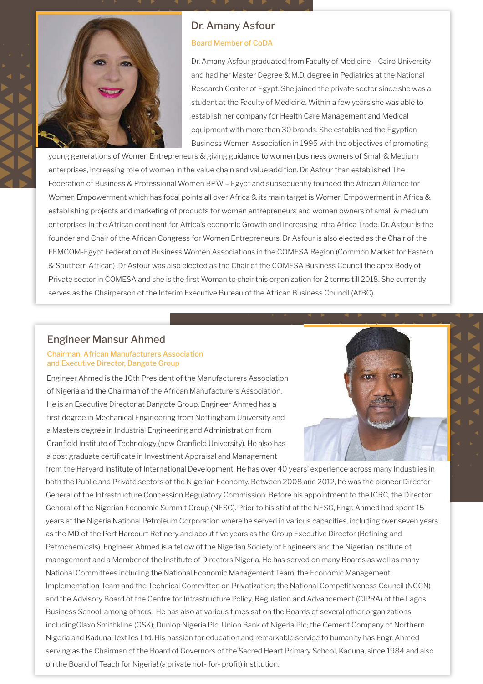

# Dr. Amany Asfour

### Board Member of CoDA

Dr. Amany Asfour graduated from Faculty of Medicine – Cairo University and had her Master Degree & M.D. degree in Pediatrics at the National Research Center of Egypt. She joined the private sector since she was a student at the Faculty of Medicine. Within a few years she was able to establish her company for Health Care Management and Medical equipment with more than 30 brands. She established the Egyptian Business Women Association in 1995 with the objectives of promoting

young generations of Women Entrepreneurs & giving guidance to women business owners of Small & Medium enterprises, increasing role of women in the value chain and value addition. Dr. Asfour than established The Federation of Business & Professional Women BPW – Egypt and subsequently founded the African Alliance for Women Empowerment which has focal points all over Africa & its main target is Women Empowerment in Africa & establishing projects and marketing of products for women entrepreneurs and women owners of small & medium enterprises in the African continent for Africa's economic Growth and increasing Intra Africa Trade. Dr. Asfour is the founder and Chair of the African Congress for Women Entrepreneurs. Dr Asfour is also elected as the Chair of the FEMCOM-Egypt Federation of Business Women Associations in the COMESA Region (Common Market for Eastern & Southern African) .Dr Asfour was also elected as the Chair of the COMESA Business Council the apex Body of Private sector in COMESA and she is the first Woman to chair this organization for 2 terms till 2018. She currently serves as the Chairperson of the Interim Executive Bureau of the African Business Council (AfBC).

# Engineer Mansur Ahmed

### Chairman, African Manufacturers Association and Executive Director, Dangote Group

Engineer Ahmed is the 10th President of the Manufacturers Association of Nigeria and the Chairman of the African Manufacturers Association. He is an Executive Director at Dangote Group. Engineer Ahmed has a first degree in Mechanical Engineering from Nottingham University and a Masters degree in Industrial Engineering and Administration from Cranfield Institute of Technology (now Cranfield University). He also has a post graduate certificate in Investment Appraisal and Management

from the Harvard Institute of International Development. He has over 40 years' experience across many Industries in both the Public and Private sectors of the Nigerian Economy. Between 2008 and 2012, he was the pioneer Director General of the Infrastructure Concession Regulatory Commission. Before his appointment to the ICRC, the Director General of the Nigerian Economic Summit Group (NESG). Prior to his stint at the NESG, Engr. Ahmed had spent 15 years at the Nigeria National Petroleum Corporation where he served in various capacities, including over seven years as the MD of the Port Harcourt Refinery and about five years as the Group Executive Director (Refining and Petrochemicals). Engineer Ahmed is a fellow of the Nigerian Society of Engineers and the Nigerian institute of management and a Member of the Institute of Directors Nigeria. He has served on many Boards as well as many National Committees including the National Economic Management Team; the Economic Management Implementation Team and the Technical Committee on Privatization; the National Competitiveness Council (NCCN) and the Advisory Board of the Centre for Infrastructure Policy, Regulation and Advancement (CIPRA) of the Lagos Business School, among others. He has also at various times sat on the Boards of several other organizations includingGlaxo Smithkline (GSK); Dunlop Nigeria Plc; Union Bank of Nigeria Plc; the Cement Company of Northern Nigeria and Kaduna Textiles Ltd. His passion for education and remarkable service to humanity has Engr. Ahmed serving as the Chairman of the Board of Governors of the Sacred Heart Primary School, Kaduna, since 1984 and also on the Board of Teach for Nigeria! (a private not- for- profit) institution.